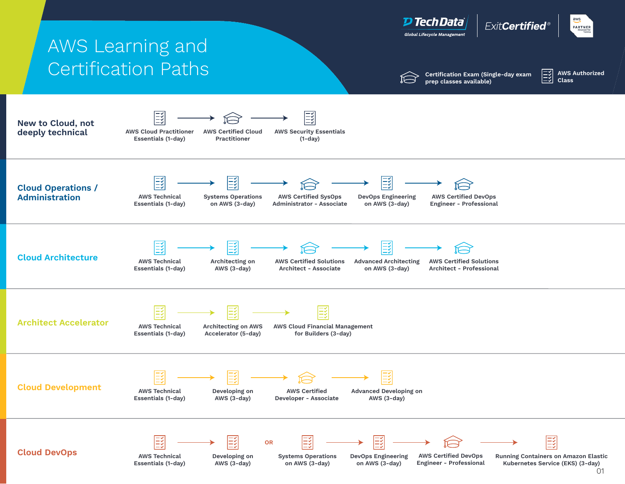